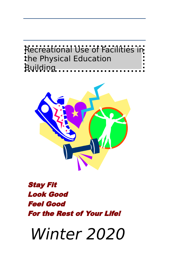



# Stay Fit Look Good Feel Good For the Rest of Your Life!

Winter 2020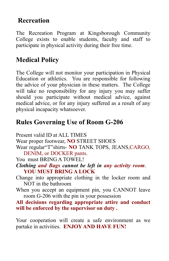### **Recreation**

The Recreation Program at Kingsborough Community College exists to enable students, faculty and staff to participate in physical activity during their free time.

## **Medical Policy**

The College will not monitor your participation in Physical Education or athletics. You are responsible for following the advice of your physician in these matters. The College will take no responsibility for any injury you may suffer should you participate without medical advice, against medical advice, or for any injury suffered as a result of any physical incapacity whatsoever.

## **Rules Governing Use of Room G-206**

Present valid ID at ALL TIMES Wear proper footwear, **NO** STREET SHOES Wear regular"T"shirts- **NO** TANK TOPS, JEANS,CARGO, DENIM, or DOCKER pants. You must BRING A TOWEL! *Clothing and Bags cannot be left in any activity room*. **YOU MUST BRING A LOCK**  Change into appropriate clothing in the locker room and NOT in the bathroom When you accept an equipment pin, you CANNOT leave room G-206 with the pin in your possession **All decisions regarding appropriate attire and conduct will be enforced by the supervisor on duty .**

Your cooperation will create a safe environment as we partake in activities. **ENJOY AND HAVE FUN!**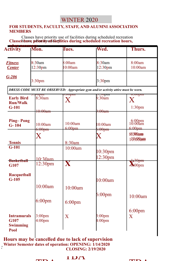### WINTER 2020

#### **FOR STUDENTS, FACULTY, STAFF, AND ALUMNI ASSOCIATION MEMBERS**

Classes have priority use of facilities during scheduled recreation Classesh huve priority of facilities during scheduled recreation hours,

| e hen<br><b>Activity</b>                        | Mon.                                     | Tues.                   | Wed.                                                                              | Thurs.                                  |
|-------------------------------------------------|------------------------------------------|-------------------------|-----------------------------------------------------------------------------------|-----------------------------------------|
| <b>Fitness</b><br><b>Center</b>                 | 8:30am<br>12:30 <sub>pm</sub>            | 8:00am<br>0:00am        | 8:30am<br>12:30 <sub>pm</sub>                                                     | 8:00am<br>10:00am                       |
| $G - 206$                                       | 3:30 <sub>pm</sub>                       |                         | 3:30 <sub>pm</sub>                                                                |                                         |
|                                                 |                                          |                         | DRESS CODE MUST BE OBSERVED: Appropriate gym and/or activity attire must be worn. |                                         |
| <b>Early Bird</b><br><b>Run/Walk</b><br>$G-101$ | <del>эорш</del><br>8:30am                | .vvpm<br>X              | <del>.0.00pm</del><br>8:30am                                                      | $0.00$ pm<br>$\rm X$                    |
|                                                 | <del>10:00am</del>                       |                         | <del>):00am</del>                                                                 | 1:30 <sub>pm</sub>                      |
| <b>Ping-Pong</b><br>$G - 104$                   | 10:00am<br>$6:00$ pm                     | 10:00am<br>6:00pm       | 10:00am<br>$6:00$ pm                                                              | 6:00pm<br>10:00am<br>6:00 <sub>pm</sub> |
|                                                 | $\boldsymbol{\mathrm{X}}$                | 8:30am                  | $\rm X$                                                                           | 88300am<br>10900am                      |
| Tennis<br>G-101                                 | $10:30$ am                               | 10:00am                 | 10:30 <sub>pm</sub><br>12:30 <sub>pm</sub>                                        |                                         |
| <b>Basketball</b><br>G107                       | 12:30 <sub>pm</sub>                      | $\overline{\mathbf{X}}$ |                                                                                   | $\frac{1}{2}30$ pm<br>$\lambda 00$ pm   |
| <b>Racquetball</b><br>$G-105$                   |                                          |                         | 10:00am                                                                           |                                         |
|                                                 | 10:00am                                  | 10:00am                 | $6:00$ pm                                                                         |                                         |
|                                                 | $6:00$ pm                                | $6:00$ pm               |                                                                                   | 10:00am                                 |
| <b>Intramurals</b><br>G107<br><b>Swimming</b>   | 3:00 <sub>pm</sub><br>4:00 <sub>pm</sub> | $\overline{X}$          | $3:00 \text{pm}$<br>4:00 <sub>pm</sub>                                            | $6:00$ pm<br>$\overline{\text{X}}$      |
| Pool                                            |                                          |                         |                                                                                   |                                         |

**Hours may be cancelled due to lack of supervision**<br>Winter Semester dates of operation: OPENING: 1/14/2020<br>CLOSING: 2/19/2020 **Hours may be cancelled due to lack of supervision CLOSING: 2/19/2020** 



 $\mathbf{F}$